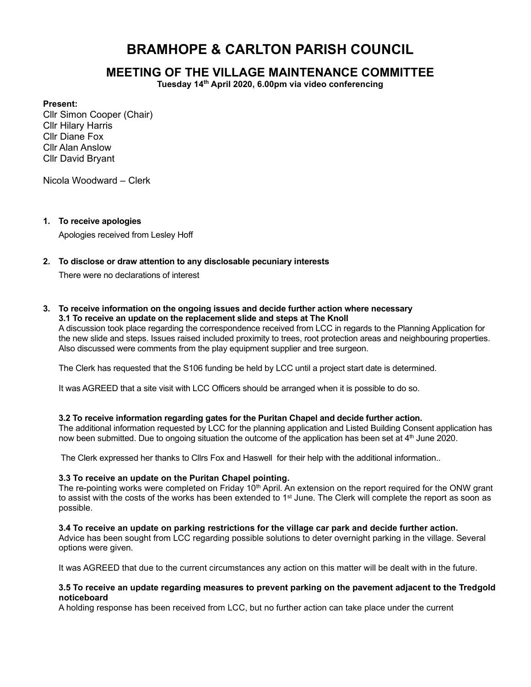# BRAMHOPE & CARLTON PARISH COUNCIL

# MEETING OF THE VILLAGE MAINTENANCE COMMITTEE

Tuesday 14th April 2020, 6.00pm via video conferencing

#### Present:

Cllr Simon Cooper (Chair) Cllr Hilary Harris Cllr Diane Fox Cllr Alan Anslow Cllr David Bryant

Nicola Woodward – Clerk

#### 1. To receive apologies

Apologies received from Lesley Hoff

#### 2. To disclose or draw attention to any disclosable pecuniary interests

There were no declarations of interest

#### 3. To receive information on the ongoing issues and decide further action where necessary 3.1 To receive an update on the replacement slide and steps at The Knoll

A discussion took place regarding the correspondence received from LCC in regards to the Planning Application for the new slide and steps. Issues raised included proximity to trees, root protection areas and neighbouring properties. Also discussed were comments from the play equipment supplier and tree surgeon.

The Clerk has requested that the S106 funding be held by LCC until a project start date is determined.

It was AGREED that a site visit with LCC Officers should be arranged when it is possible to do so.

### 3.2 To receive information regarding gates for the Puritan Chapel and decide further action.

The additional information requested by LCC for the planning application and Listed Building Consent application has now been submitted. Due to ongoing situation the outcome of the application has been set at 4<sup>th</sup> June 2020.

The Clerk expressed her thanks to Cllrs Fox and Haswell for their help with the additional information..

### 3.3 To receive an update on the Puritan Chapel pointing.

The re-pointing works were completed on Friday  $10<sup>th</sup>$  April. An extension on the report required for the ONW grant to assist with the costs of the works has been extended to 1<sup>st</sup> June. The Clerk will complete the report as soon as possible.

#### 3.4 To receive an update on parking restrictions for the village car park and decide further action.

Advice has been sought from LCC regarding possible solutions to deter overnight parking in the village. Several options were given.

It was AGREED that due to the current circumstances any action on this matter will be dealt with in the future.

#### 3.5 To receive an update regarding measures to prevent parking on the pavement adjacent to the Tredgold noticeboard

A holding response has been received from LCC, but no further action can take place under the current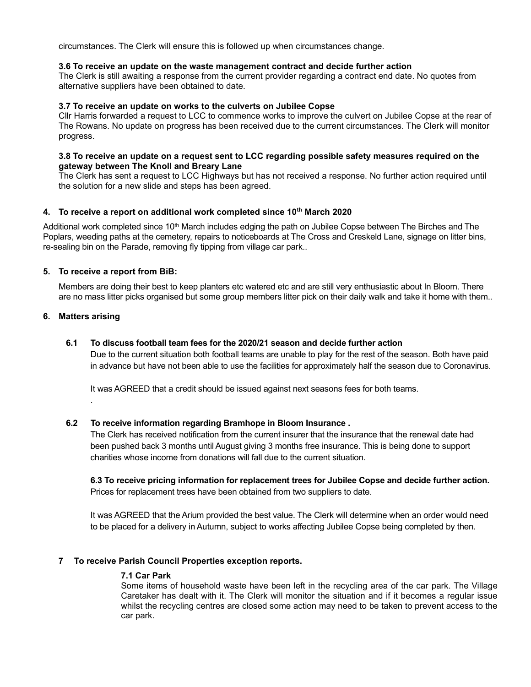circumstances. The Clerk will ensure this is followed up when circumstances change.

#### 3.6 To receive an update on the waste management contract and decide further action

The Clerk is still awaiting a response from the current provider regarding a contract end date. No quotes from alternative suppliers have been obtained to date.

#### 3.7 To receive an update on works to the culverts on Jubilee Copse

Cllr Harris forwarded a request to LCC to commence works to improve the culvert on Jubilee Copse at the rear of The Rowans. No update on progress has been received due to the current circumstances. The Clerk will monitor progress.

### 3.8 To receive an update on a request sent to LCC regarding possible safety measures required on the gateway between The Knoll and Breary Lane

The Clerk has sent a request to LCC Highways but has not received a response. No further action required until the solution for a new slide and steps has been agreed.

# 4. To receive a report on additional work completed since 10<sup>th</sup> March 2020

Additional work completed since 10<sup>th</sup> March includes edging the path on Jubilee Copse between The Birches and The Poplars, weeding paths at the cemetery, repairs to noticeboards at The Cross and Creskeld Lane, signage on litter bins, re-sealing bin on the Parade, removing fly tipping from village car park..

# 5. To receive a report from BiB:

Members are doing their best to keep planters etc watered etc and are still very enthusiastic about In Bloom. There are no mass litter picks organised but some group members litter pick on their daily walk and take it home with them..

### 6. Matters arising

.

#### 6.1 To discuss football team fees for the 2020/21 season and decide further action

Due to the current situation both football teams are unable to play for the rest of the season. Both have paid in advance but have not been able to use the facilities for approximately half the season due to Coronavirus.

It was AGREED that a credit should be issued against next seasons fees for both teams.

### 6.2 To receive information regarding Bramhope in Bloom Insurance .

The Clerk has received notification from the current insurer that the insurance that the renewal date had been pushed back 3 months until August giving 3 months free insurance. This is being done to support charities whose income from donations will fall due to the current situation.

6.3 To receive pricing information for replacement trees for Jubilee Copse and decide further action. Prices for replacement trees have been obtained from two suppliers to date.

It was AGREED that the Arium provided the best value. The Clerk will determine when an order would need to be placed for a delivery in Autumn, subject to works affecting Jubilee Copse being completed by then.

### 7 To receive Parish Council Properties exception reports.

#### 7.1 Car Park

Some items of household waste have been left in the recycling area of the car park. The Village Caretaker has dealt with it. The Clerk will monitor the situation and if it becomes a regular issue whilst the recycling centres are closed some action may need to be taken to prevent access to the car park.